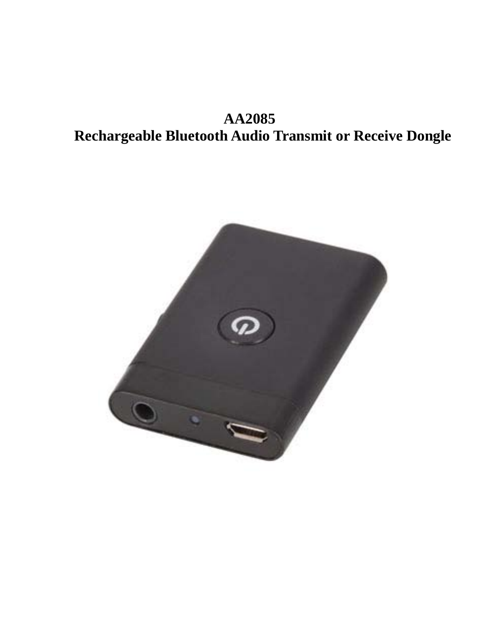**AA2085 Rechargeable Bluetooth Audio Transmit or Receive Dongle**

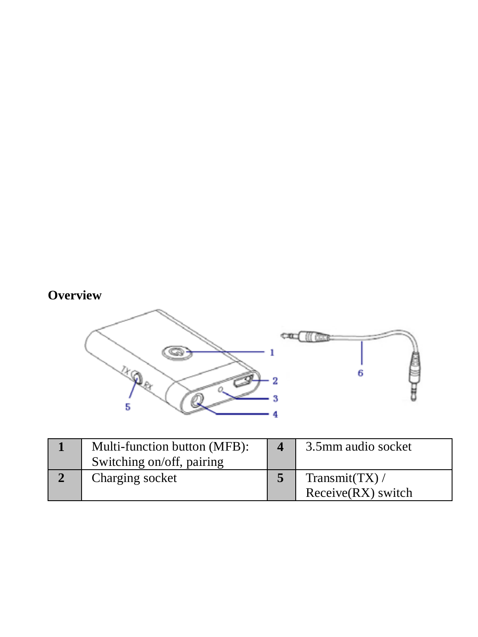# **Overview**



| Multi-function button (MFB):<br>Switching on/off, pairing | 3.5mm audio socket                  |
|-----------------------------------------------------------|-------------------------------------|
| Charging socket                                           | Transmit(TX)/<br>Receive(RX) switch |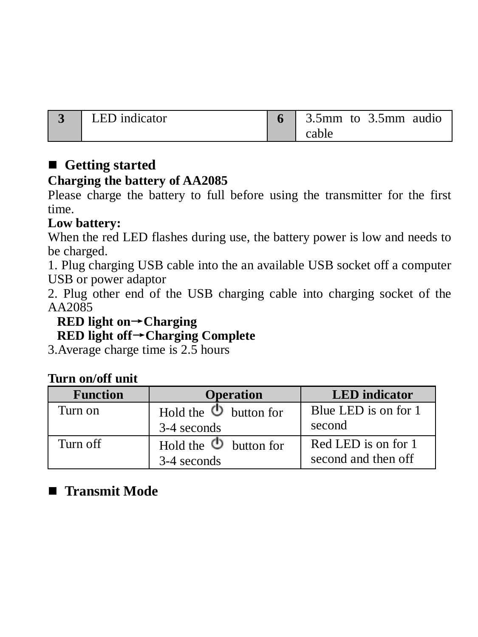| LED indicator | 3.5mm to 3.5mm audio |
|---------------|----------------------|
|               | cable                |

## **Getting started**

## **Charging the battery of AA2085**

Please charge the battery to full before using the transmitter for the first time.

## **Low battery:**

When the red LED flashes during use, the battery power is low and needs to be charged.

1. Plug charging USB cable into the an available USB socket off a computer USB or power adaptor

2. Plug other end of the USB charging cable into charging socket of the AA2085

## **RED light on**→**Charging**

**RED light off**→**Charging Complete**

3.Average charge time is 2.5 hours

## **Turn on/off unit**

| <b>Function</b> | <b>Operation</b>                             | <b>LED</b> indicator                       |
|-----------------|----------------------------------------------|--------------------------------------------|
| Turn on         | Hold the $\bullet$ button for<br>3-4 seconds | Blue LED is on for 1<br>second             |
| Turn off        | Hold the $\Phi$ button for<br>3-4 seconds    | Red LED is on for 1<br>second and then off |

## **Transmit Mode**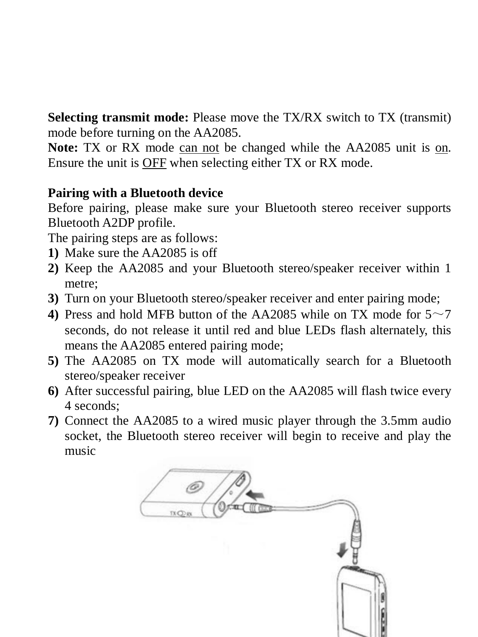**Selecting transmit mode:** Please move the TX/RX switch to TX (transmit) mode before turning on the AA2085.

**Note:** TX or RX mode can not be changed while the AA2085 unit is on. Ensure the unit is OFF when selecting either TX or RX mode.

## **Pairing with a Bluetooth device**

Before pairing, please make sure your Bluetooth stereo receiver supports Bluetooth A2DP profile.

The pairing steps are as follows:

- **1)** Make sure the AA2085 is off
- **2)** Keep the AA2085 and your Bluetooth stereo/speaker receiver within 1 metre;
- **3)** Turn on your Bluetooth stereo/speaker receiver and enter pairing mode;
- **4)** Press and hold MFB button of the AA2085 while on TX mode for  $5 \sim 7$ seconds, do not release it until red and blue LEDs flash alternately, this means the AA2085 entered pairing mode;
- **5)** The AA2085 on TX mode will automatically search for a Bluetooth stereo/speaker receiver
- **6)** After successful pairing, blue LED on the AA2085 will flash twice every 4 seconds;
- **7)** Connect the AA2085 to a wired music player through the 3.5mm audio socket, the Bluetooth stereo receiver will begin to receive and play the music

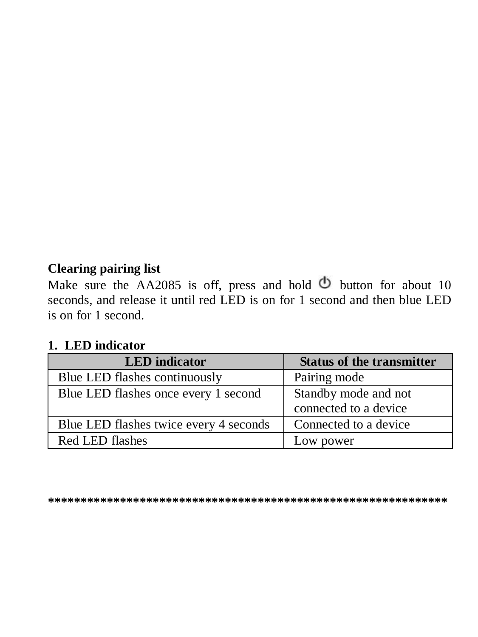## **Clearing pairing list**

Make sure the AA2085 is off, press and hold  $\ddot{\text{O}}$  button for about 10 seconds, and release it until red LED is on for 1 second and then blue LED is on for 1 second.

## **1. LED indicator**

| <b>LED</b> indicator                   | <b>Status of the transmitter</b>              |
|----------------------------------------|-----------------------------------------------|
| Blue LED flashes continuously          | Pairing mode                                  |
| Blue LED flashes once every 1 second   | Standby mode and not<br>connected to a device |
| Blue LED flashes twice every 4 seconds | Connected to a device                         |
| Red LED flashes                        | Low power                                     |

**\*\*\*\*\*\*\*\*\*\*\*\*\*\*\*\*\*\*\*\*\*\*\*\*\*\*\*\*\*\*\*\*\*\*\*\*\*\*\*\*\*\*\*\*\*\*\*\*\*\*\*\*\*\*\*\*\*\*\*\*\***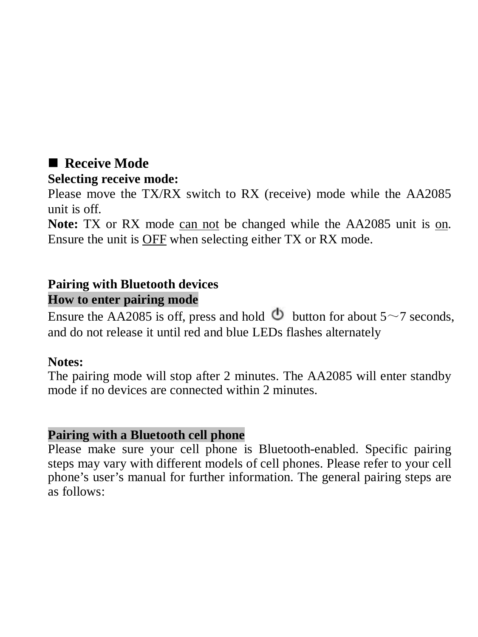## **Receive Mode**

#### **Selecting receive mode:**

Please move the TX/RX switch to RX (receive) mode while the AA2085 unit is off.

**Note:** TX or RX mode can not be changed while the AA2085 unit is on. Ensure the unit is OFF when selecting either TX or RX mode.

#### **Pairing with Bluetooth devices How to enter pairing mode**

Ensure the AA2085 is off, press and hold  $\Phi$  button for about 5~7 seconds, and do not release it until red and blue LEDs flashes alternately

#### **Notes:**

The pairing mode will stop after 2 minutes. The AA2085 will enter standby mode if no devices are connected within 2 minutes.

#### **Pairing with a Bluetooth cell phone**

Please make sure your cell phone is Bluetooth-enabled. Specific pairing steps may vary with different models of cell phones. Please refer to your cell phone's user's manual for further information. The general pairing steps are as follows: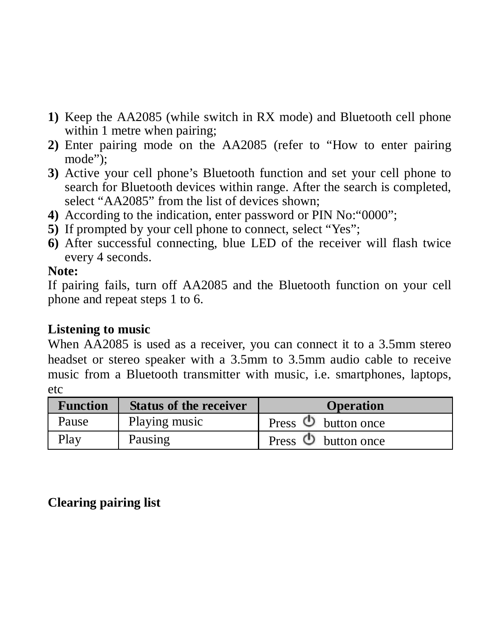- **1)** Keep the AA2085 (while switch in RX mode) and Bluetooth cell phone within 1 metre when pairing:
- **2)** Enter pairing mode on the AA2085 (refer to "How to enter pairing mode");
- **3)** Active your cell phone's Bluetooth function and set your cell phone to search for Bluetooth devices within range. After the search is completed select "AA2085" from the list of devices shown:
- **4)** According to the indication, enter password or PIN No<sup>20</sup>000<sup>7</sup>
- **5)** If prompted by your cell phone to connect, select "Yes";
- **6)** After successful connecting, blue LED of the receiver will flash twice every 4 seconds.

#### **Note:**

If pairing fails, turn off AA2085 and the Bluetooth function on your cell phone and repeat steps 1 to 6.

## **Listening to music**

When  $\overline{AA}$ 2085 is used as a receiver, you can connect it to a 3.5mm stereo headset or stereo speaker with a 3.5mm to 3.5mm audio cable to receive music from a Bluetooth transmitter with music, i.e. smartphones, laptops, etc

| <b>Function</b> | <b>Status of the receiver</b> | <b>Operation</b>             |
|-----------------|-------------------------------|------------------------------|
| Pause           | Playing music                 | Press $\bullet$ button once  |
| Play            | Pausing                       | Press $\bigcirc$ button once |

## **Clearing pairing list**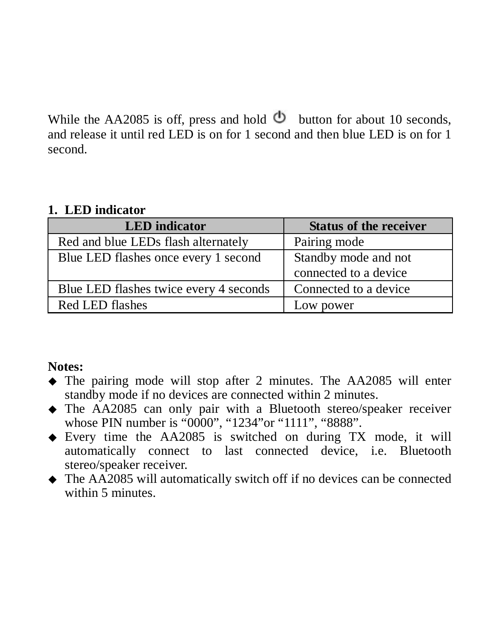While the AA2085 is off, press and hold  $\Phi$  button for about 10 seconds, and release it until red LED is on for 1 second and then blue LED is on for 1 second.

#### **1. LED indicator**

| <b>LED</b> indicator                   | <b>Status of the receiver</b> |
|----------------------------------------|-------------------------------|
| Red and blue LEDs flash alternately    | Pairing mode                  |
| Blue LED flashes once every 1 second   | Standby mode and not          |
|                                        | connected to a device         |
| Blue LED flashes twice every 4 seconds | Connected to a device         |
| Red LED flashes                        | Low power                     |

## **Notes:**

- The pairing mode will stop after 2 minutes. The AA2085 will enter standby mode if no devices are connected within 2 minutes.
- The AA2085 can only pair with a Bluetooth stereo/speaker receiver whose PIN number is "0000" "1234" or "1111" "8888"
- Every time the AA2085 is switched on during TX mode, it will automatically connect to last connected device, i.e. Bluetooth stereo/speaker receiver.
- The AA2085 will automatically switch off if no devices can be connected within 5 minutes.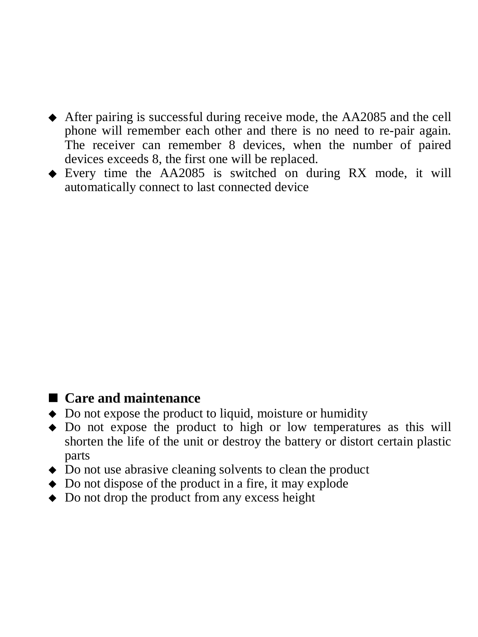- After pairing is successful during receive mode, the AA2085 and the cell phone will remember each other and there is no need to re-pair again. The receiver can remember 8 devices, when the number of paired devices exceeds 8, the first one will be replaced.
- $\triangle$  Every time the AA2085 is switched on during RX mode, it will automatically connect to last connected device

## **Care and maintenance**

- $\triangle$  Do not expose the product to liquid, moisture or humidity
- Do not expose the product to high or low temperatures as this will shorten the life of the unit or destroy the battery or distort certain plastic parts
- Do not use abrasive cleaning solvents to clean the product
- ◆ Do not dispose of the product in a fire, it may explode
- $\triangle$  Do not drop the product from any excess height